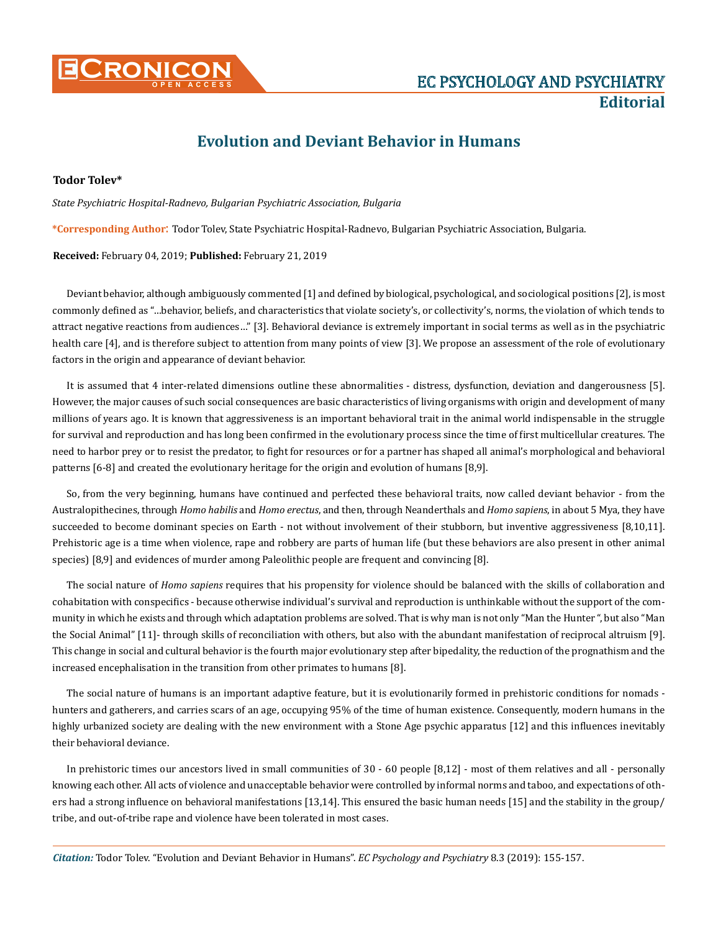

## **Evolution and Deviant Behavior in Humans**

## **Todor Tolev\***

*State Psychiatric Hospital-Radnevo, Bulgarian Psychiatric Association, Bulgaria* 

**\*Corresponding Author**: Todor Tolev, State Psychiatric Hospital-Radnevo, Bulgarian Psychiatric Association, Bulgaria.

**Received:** February 04, 2019; **Published:** February 21, 2019

Deviant behavior, although ambiguously commented [1] and defined by biological, psychological, and sociological positions [2], is most commonly defined as "…behavior, beliefs, and characteristics that violate society's, or collectivity's, norms, the violation of which tends to attract negative reactions from audiences…" [3]. Behavioral deviance is extremely important in social terms as well as in the psychiatric health care [4], and is therefore subject to attention from many points of view [3]. We propose an assessment of the role of evolutionary factors in the origin and appearance of deviant behavior.

It is assumed that 4 inter-related dimensions outline these abnormalities - distress, dysfunction, deviation and dangerousness [5]. However, the major causes of such social consequences are basic characteristics of living organisms with origin and development of many millions of years ago. It is known that aggressiveness is an important behavioral trait in the animal world indispensable in the struggle for survival and reproduction and has long been confirmed in the evolutionary process since the time of first multicellular creatures. The need to harbor prey or to resist the predator, to fight for resources or for a partner has shaped all animal's morphological and behavioral patterns [6-8] and created the evolutionary heritage for the origin and evolution of humans [8,9].

So, from the very beginning, humans have continued and perfected these behavioral traits, now called deviant behavior - from the Australopithecines, through *Homo habilis* and *Homo erectus*, and then, through Neanderthals and *Homo sapiens*, in about 5 Mya, they have succeeded to become dominant species on Earth - not without involvement of their stubborn, but inventive aggressiveness [8,10,11]. Prehistoric age is a time when violence, rape and robbery are parts of human life (but these behaviors are also present in other animal species) [8,9] and evidences of murder among Paleolithic people are frequent and convincing [8].

The social nature of *Homo sapiens* requires that his propensity for violence should be balanced with the skills of collaboration and cohabitation with conspecifics - because otherwise individual's survival and reproduction is unthinkable without the support of the community in which he exists and through which adaptation problems are solved. That is why man is not only "Man the Hunter ", but also "Man the Social Animal" [11]- through skills of reconciliation with others, but also with the abundant manifestation of reciprocal altruism [9]. This change in social and cultural behavior is the fourth major evolutionary step after bipedality, the reduction of the prognathism and the increased encephalisation in the transition from other primates to humans [8].

The social nature of humans is an important adaptive feature, but it is evolutionarily formed in prehistoric conditions for nomads hunters and gatherers, and carries scars of an age, occupying 95% of the time of human existence. Consequently, modern humans in the highly urbanized society are dealing with the new environment with a Stone Age psychic apparatus [12] and this influences inevitably their behavioral deviance.

In prehistoric times our ancestors lived in small communities of 30 - 60 people [8,12] - most of them relatives and all - personally knowing each other. All acts of violence and unacceptable behavior were controlled by informal norms and taboo, and expectations of others had a strong influence on behavioral manifestations [13,14]. This ensured the basic human needs [15] and the stability in the group/ tribe, and out-of-tribe rape and violence have been tolerated in most cases.

*Citation:* Todor Tolev. "Evolution and Deviant Behavior in Humans". *EC Psychology and Psychiatry* 8.3 (2019): 155-157.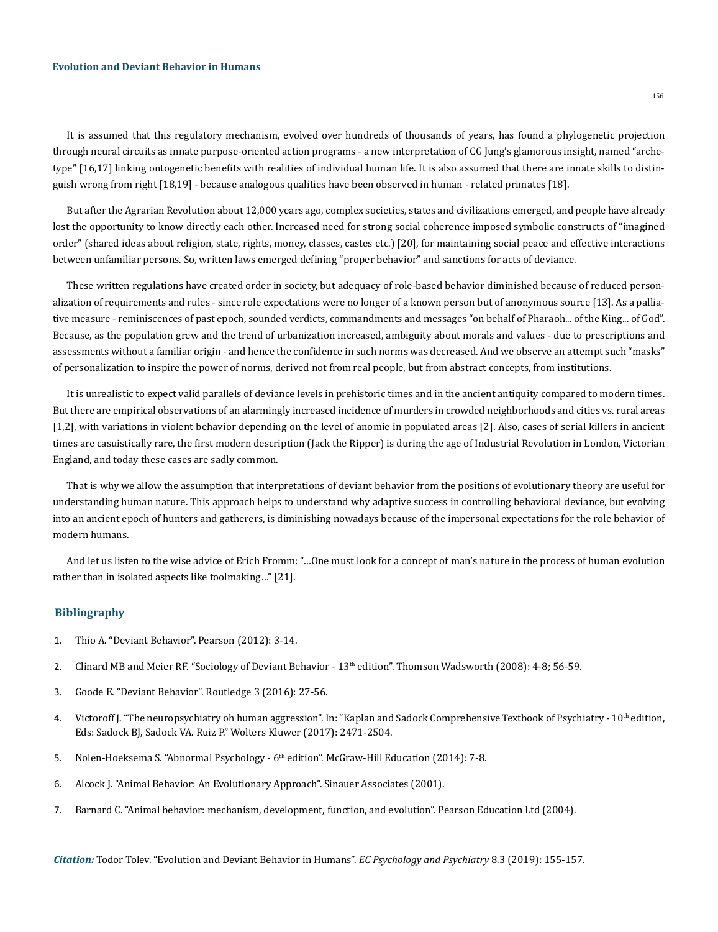It is assumed that this regulatory mechanism, evolved over hundreds of thousands of years, has found a phylogenetic projection through neural circuits as innate purpose-oriented action programs - a new interpretation of CG Jung's glamorous insight, named "archetype" [16,17] linking ontogenetic benefits with realities of individual human life. It is also assumed that there are innate skills to distinguish wrong from right [18,19] - because analogous qualities have been observed in human - related primates [18].

But after the Agrarian Revolution about 12,000 years ago, complex societies, states and civilizations emerged, and people have already lost the opportunity to know directly each other. Increased need for strong social coherence imposed symbolic constructs of "imagined order" (shared ideas about religion, state, rights, money, classes, castes etc.) [20], for maintaining social peace and effective interactions between unfamiliar persons. So, written laws emerged defining "proper behavior" and sanctions for acts of deviance.

These written regulations have created order in society, but adequacy of role-based behavior diminished because of reduced personalization of requirements and rules - since role expectations were no longer of a known person but of anonymous source [13]. As a palliative measure - reminiscences of past epoch, sounded verdicts, commandments and messages "on behalf of Pharaoh... of the King... of God". Because, as the population grew and the trend of urbanization increased, ambiguity about morals and values - due to prescriptions and assessments without a familiar origin - and hence the confidence in such norms was decreased. And we observe an attempt such "masks" of personalization to inspire the power of norms, derived not from real people, but from abstract concepts, from institutions.

It is unrealistic to expect valid parallels of deviance levels in prehistoric times and in the ancient antiquity compared to modern times. But there are empirical observations of an alarmingly increased incidence of murders in crowded neighborhoods and cities vs. rural areas [1,2], with variations in violent behavior depending on the level of anomie in populated areas [2]. Also, cases of serial killers in ancient times are casuistically rare, the first modern description (Jack the Ripper) is during the age of Industrial Revolution in London, Victorian England, and today these cases are sadly common.

That is why we allow the assumption that interpretations of deviant behavior from the positions of evolutionary theory are useful for understanding human nature. This approach helps to understand why adaptive success in controlling behavioral deviance, but evolving into an ancient epoch of hunters and gatherers, is diminishing nowadays because of the impersonal expectations for the role behavior of modern humans.

And let us listen to the wise advice of Erich Fromm: "…One must look for a concept of man's nature in the process of human evolution rather than in isolated aspects like toolmaking…" [21].

## **Bibliography**

- 1. Thio A. "Deviant Behavior". Pearson (2012): 3-14.
- 2. Clinard MB and Meier RF. "Sociology of Deviant Behavior 13<sup>th</sup> edition". Thomson Wadsworth (2008): 4-8; 56-59.
- 3. Goode E. "Deviant Behavior". Routledge 3 (2016): 27-56.
- 4. Victoroff J. "The neuropsychiatry oh human aggression". In: "Kaplan and Sadock Comprehensive Textbook of Psychiatry 10<sup>th</sup> edition, Eds: Sadock BJ, Sadock VA. Ruiz P." Wolters Kluwer (2017): 2471-2504.
- 5. Nolen-Hoeksema S. "Abnormal Psychology 6<sup>th</sup> edition". McGraw-Hill Education (2014): 7-8.
- 6. Alcock J. "Animal Behavior: An Evolutionary Approach". Sinauer Associates (2001).
- 7. Barnard C. "Animal behavior: mechanism, development, function, and evolution". Pearson Education Ltd (2004).